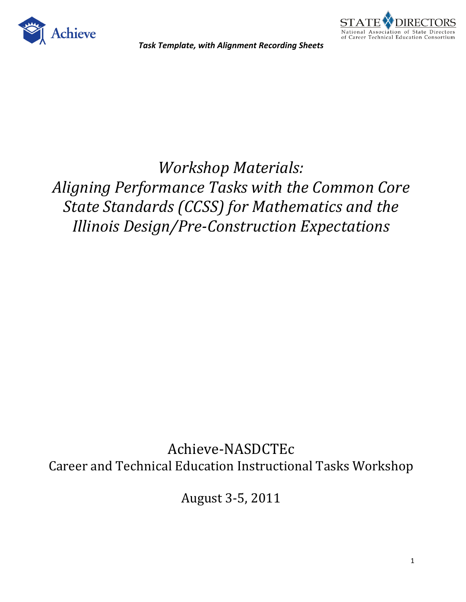



*Workshop Materials: Aligning Performance Tasks with the Common Core State Standards (CCSS) for Mathematics and the Illinois Design/Pre-Construction Expectations* 

Achieve-NASDCTEc Career and Technical Education Instructional Tasks Workshop

August 3-5, 2011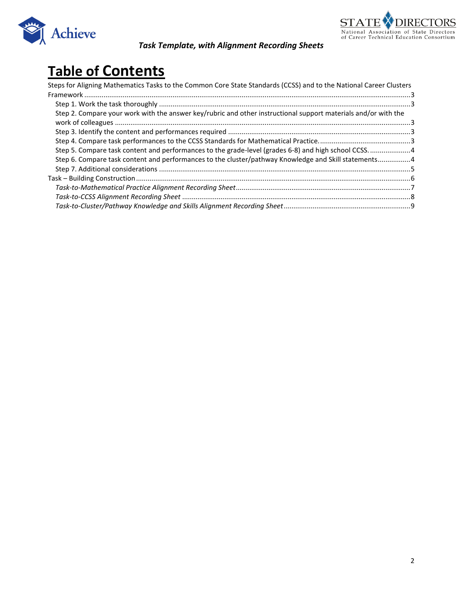



# **Table of Contents**

| Steps for Aligning Mathematics Tasks to the Common Core State Standards (CCSS) and to the National Career Clusters |  |
|--------------------------------------------------------------------------------------------------------------------|--|
|                                                                                                                    |  |
|                                                                                                                    |  |
| Step 2. Compare your work with the answer key/rubric and other instructional support materials and/or with the     |  |
|                                                                                                                    |  |
|                                                                                                                    |  |
|                                                                                                                    |  |
| Step 5. Compare task content and performances to the grade-level (grades 6-8) and high school CCSS4                |  |
| Step 6. Compare task content and performances to the cluster/pathway Knowledge and Skill statements4               |  |
|                                                                                                                    |  |
|                                                                                                                    |  |
|                                                                                                                    |  |
|                                                                                                                    |  |
|                                                                                                                    |  |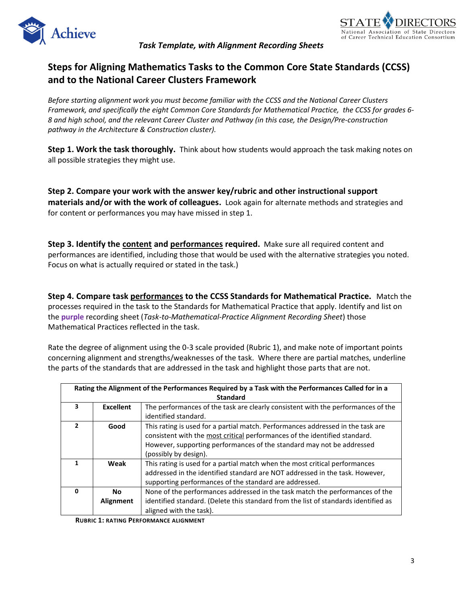



### <span id="page-2-0"></span>**Steps for Aligning Mathematics Tasks to the Common Core State Standards (CCSS) and to the National Career Clusters Framework**

*Before starting alignment work you must become familiar with the CCSS and the National Career Clusters Framework, and specifically the eight Common Core Standards for Mathematical Practice, the CCSS for grades 6- 8 and high school, and the relevant Career Cluster and Pathway (in this case, the Design/Pre-construction pathway in the Architecture & Construction cluster).* 

<span id="page-2-1"></span>**Step 1. Work the task thoroughly.** Think about how students would approach the task making notes on all possible strategies they might use.

<span id="page-2-2"></span>**Step 2. Compare your work with the answer key/rubric and other instructional support materials and/or with the work of colleagues.** Look again for alternate methods and strategies and for content or performances you may have missed in step 1.

<span id="page-2-3"></span>**Step 3. Identify the content and performances required.** Make sure all required content and performances are identified, including those that would be used with the alternative strategies you noted. Focus on what is actually required or stated in the task.)

<span id="page-2-4"></span>**Step 4. Compare task performances to the CCSS Standards for Mathematical Practice.** Match the processes required in the task to the Standards for Mathematical Practice that apply. Identify and list on the **purple** recording sheet (*Task-to-Mathematical-Practice Alignment Recording Sheet*) those Mathematical Practices reflected in the task.

Rate the degree of alignment using the 0-3 scale provided (Rubric 1), and make note of important points concerning alignment and strengths/weaknesses of the task. Where there are partial matches, underline the parts of the standards that are addressed in the task and highlight those parts that are not.

| Rating the Alignment of the Performances Required by a Task with the Performances Called for in a |           |                                                                                     |  |  |  |  |  |  |
|---------------------------------------------------------------------------------------------------|-----------|-------------------------------------------------------------------------------------|--|--|--|--|--|--|
| <b>Standard</b>                                                                                   |           |                                                                                     |  |  |  |  |  |  |
| 3                                                                                                 | Excellent | The performances of the task are clearly consistent with the performances of the    |  |  |  |  |  |  |
|                                                                                                   |           | identified standard.                                                                |  |  |  |  |  |  |
| 2                                                                                                 | Good      | This rating is used for a partial match. Performances addressed in the task are     |  |  |  |  |  |  |
|                                                                                                   |           | consistent with the most critical performances of the identified standard.          |  |  |  |  |  |  |
|                                                                                                   |           | However, supporting performances of the standard may not be addressed               |  |  |  |  |  |  |
|                                                                                                   |           | (possibly by design).                                                               |  |  |  |  |  |  |
|                                                                                                   | Weak      | This rating is used for a partial match when the most critical performances         |  |  |  |  |  |  |
|                                                                                                   |           | addressed in the identified standard are NOT addressed in the task. However,        |  |  |  |  |  |  |
|                                                                                                   |           | supporting performances of the standard are addressed.                              |  |  |  |  |  |  |
| 0                                                                                                 | No.       | None of the performances addressed in the task match the performances of the        |  |  |  |  |  |  |
|                                                                                                   | Alignment | identified standard. (Delete this standard from the list of standards identified as |  |  |  |  |  |  |
|                                                                                                   |           | aligned with the task).                                                             |  |  |  |  |  |  |

<span id="page-2-5"></span>**RUBRIC 1: RATING PERFORMANCE ALIGNMENT**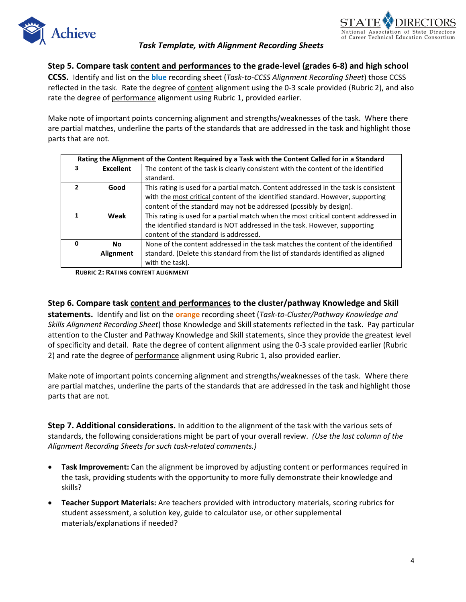



**Step 5. Compare task content and performances to the grade-level (grades 6-8) and high school** 

**CCSS.** Identify and list on the **blue** recording sheet (*Task-to-CCSS Alignment Recording Sheet*) those CCSS reflected in the task. Rate the degree of content alignment using the 0-3 scale provided (Rubric 2), and also rate the degree of performance alignment using Rubric 1, provided earlier.

Make note of important points concerning alignment and strengths/weaknesses of the task. Where there are partial matches, underline the parts of the standards that are addressed in the task and highlight those parts that are not.

|   | Rating the Alignment of the Content Required by a Task with the Content Called for in a Standard |                                                                                      |  |  |  |  |  |
|---|--------------------------------------------------------------------------------------------------|--------------------------------------------------------------------------------------|--|--|--|--|--|
| 3 | <b>Excellent</b>                                                                                 | The content of the task is clearly consistent with the content of the identified     |  |  |  |  |  |
|   |                                                                                                  | standard.                                                                            |  |  |  |  |  |
| 2 | Good                                                                                             | This rating is used for a partial match. Content addressed in the task is consistent |  |  |  |  |  |
|   |                                                                                                  | with the most critical content of the identified standard. However, supporting       |  |  |  |  |  |
|   |                                                                                                  | content of the standard may not be addressed (possibly by design).                   |  |  |  |  |  |
| 1 | Weak                                                                                             | This rating is used for a partial match when the most critical content addressed in  |  |  |  |  |  |
|   |                                                                                                  | the identified standard is NOT addressed in the task. However, supporting            |  |  |  |  |  |
|   |                                                                                                  | content of the standard is addressed.                                                |  |  |  |  |  |
| 0 | <b>No</b>                                                                                        | None of the content addressed in the task matches the content of the identified      |  |  |  |  |  |
|   | Alignment                                                                                        | standard. (Delete this standard from the list of standards identified as aligned     |  |  |  |  |  |
|   |                                                                                                  | with the task).                                                                      |  |  |  |  |  |

**RUBRIC 2: RATING CONTENT ALIGNMENT**

#### <span id="page-3-0"></span>**Step 6. Compare task content and performances to the cluster/pathway Knowledge and Skill**

**statements.** Identify and list on the **orange** recording sheet (*Task-to-Cluster/Pathway Knowledge and Skills Alignment Recording Sheet*) those Knowledge and Skill statements reflected in the task. Pay particular attention to the Cluster and Pathway Knowledge and Skill statements, since they provide the greatest level of specificity and detail. Rate the degree of content alignment using the 0-3 scale provided earlier (Rubric 2) and rate the degree of performance alignment using Rubric 1, also provided earlier.

Make note of important points concerning alignment and strengths/weaknesses of the task. Where there are partial matches, underline the parts of the standards that are addressed in the task and highlight those parts that are not.

<span id="page-3-1"></span>**Step 7. Additional considerations.** In addition to the alignment of the task with the various sets of standards, the following considerations might be part of your overall review. *(Use the last column of the Alignment Recording Sheets for such task-related comments.)*

- **Task Improvement:** Can the alignment be improved by adjusting content or performances required in the task, providing students with the opportunity to more fully demonstrate their knowledge and skills?
- **Teacher Support Materials:** Are teachers provided with introductory materials, scoring rubrics for student assessment, a solution key, guide to calculator use, or other supplemental materials/explanations if needed?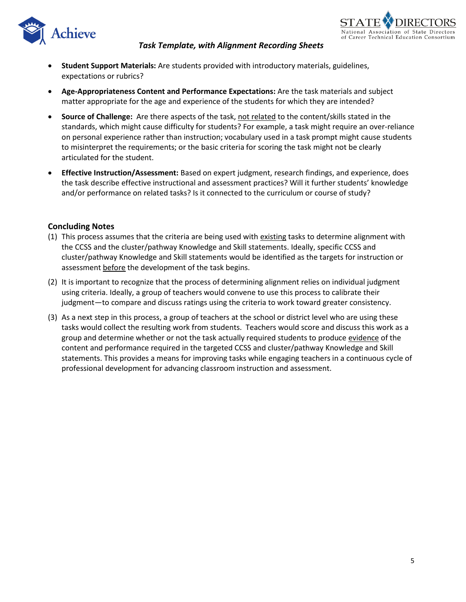



- **Student Support Materials:** Are students provided with introductory materials, guidelines, expectations or rubrics?
- **Age-Appropriateness Content and Performance Expectations:** Are the task materials and subject matter appropriate for the age and experience of the students for which they are intended?
- **Source of Challenge:** Are there aspects of the task, not related to the content/skills stated in the standards, which might cause difficulty for students? For example, a task might require an over-reliance on personal experience rather than instruction; vocabulary used in a task prompt might cause students to misinterpret the requirements; or the basic criteria for scoring the task might not be clearly articulated for the student.
- **Effective Instruction/Assessment:** Based on expert judgment, research findings, and experience, does the task describe effective instructional and assessment practices? Will it further students' knowledge and/or performance on related tasks? Is it connected to the curriculum or course of study?

#### **Concluding Notes**

- (1) This process assumes that the criteria are being used with existing tasks to determine alignment with the CCSS and the cluster/pathway Knowledge and Skill statements. Ideally, specific CCSS and cluster/pathway Knowledge and Skill statements would be identified as the targets for instruction or assessment before the development of the task begins.
- (2) It is important to recognize that the process of determining alignment relies on individual judgment using criteria. Ideally, a group of teachers would convene to use this process to calibrate their judgment—to compare and discuss ratings using the criteria to work toward greater consistency.
- (3) As a next step in this process, a group of teachers at the school or district level who are using these tasks would collect the resulting work from students. Teachers would score and discuss this work as a group and determine whether or not the task actually required students to produce evidence of the content and performance required in the targeted CCSS and cluster/pathway Knowledge and Skill statements. This provides a means for improving tasks while engaging teachers in a continuous cycle of professional development for advancing classroom instruction and assessment.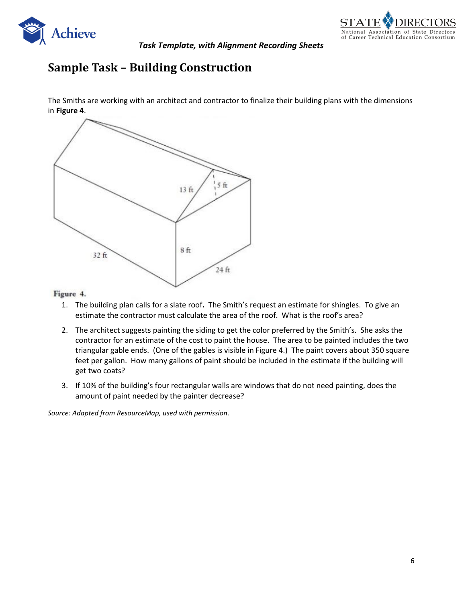



### <span id="page-5-0"></span>**Sample Task – Building Construction**

The Smiths are working with an architect and contractor to finalize their building plans with the dimensions in **Figure 4**.



#### Figure 4.

- 1. The building plan calls for a slate roof**.** The Smith's request an estimate for shingles. To give an estimate the contractor must calculate the area of the roof. What is the roof's area?
- 2. The architect suggests painting the siding to get the color preferred by the Smith's. She asks the contractor for an estimate of the cost to paint the house. The area to be painted includes the two triangular gable ends. (One of the gables is visible in Figure 4.) The paint covers about 350 square feet per gallon. How many gallons of paint should be included in the estimate if the building will get two coats?
- 3. If 10% of the building's four rectangular walls are windows that do not need painting, does the amount of paint needed by the painter decrease?

*Source: Adapted from ResourceMap, used with permission*.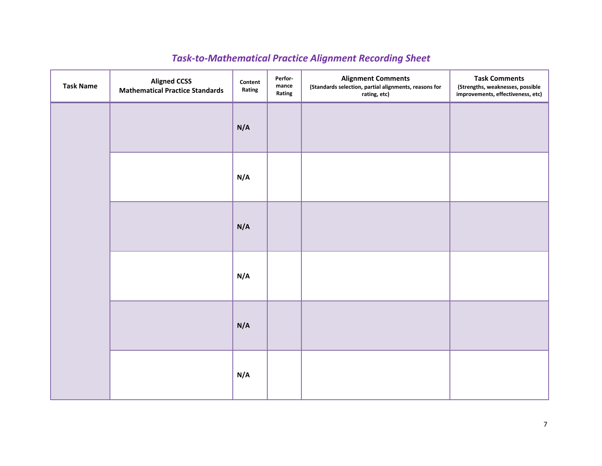# *Task-to-Mathematical Practice Alignment Recording Sheet*

<span id="page-6-0"></span>

| <b>Task Name</b> | <b>Aligned CCSS</b><br><b>Mathematical Practice Standards</b> | Content<br>Rating | Perfor-<br>${\sf mance}$<br>Rating | <b>Alignment Comments</b><br>(Standards selection, partial alignments, reasons for<br>rating, etc) | <b>Task Comments</b><br>(Strengths, weaknesses, possible<br>improvements, effectiveness, etc) |
|------------------|---------------------------------------------------------------|-------------------|------------------------------------|----------------------------------------------------------------------------------------------------|-----------------------------------------------------------------------------------------------|
|                  |                                                               | N/A               |                                    |                                                                                                    |                                                                                               |
|                  |                                                               | N/A               |                                    |                                                                                                    |                                                                                               |
|                  |                                                               | N/A               |                                    |                                                                                                    |                                                                                               |
|                  |                                                               | N/A               |                                    |                                                                                                    |                                                                                               |
|                  |                                                               | N/A               |                                    |                                                                                                    |                                                                                               |
|                  |                                                               | N/A               |                                    |                                                                                                    |                                                                                               |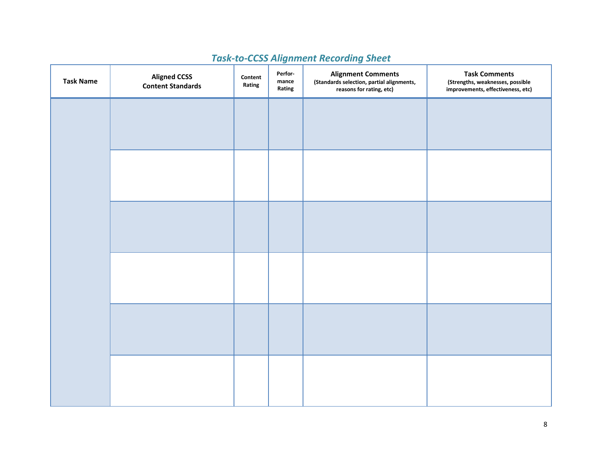<span id="page-7-0"></span>

| <b>Task Name</b> | <b>Aligned CCSS</b><br><b>Content Standards</b> | Content<br>Rating | Perfor-<br>${\sf mance}$<br>Rating | <b>Alignment Comments</b><br>(Standards selection, partial alignments,<br>reasons for rating, etc) | <b>Task Comments</b><br>(Strengths, weaknesses, possible<br>improvements, effectiveness, etc) |
|------------------|-------------------------------------------------|-------------------|------------------------------------|----------------------------------------------------------------------------------------------------|-----------------------------------------------------------------------------------------------|
|                  |                                                 |                   |                                    |                                                                                                    |                                                                                               |
|                  |                                                 |                   |                                    |                                                                                                    |                                                                                               |
|                  |                                                 |                   |                                    |                                                                                                    |                                                                                               |
|                  |                                                 |                   |                                    |                                                                                                    |                                                                                               |
|                  |                                                 |                   |                                    |                                                                                                    |                                                                                               |
|                  |                                                 |                   |                                    |                                                                                                    |                                                                                               |
|                  |                                                 |                   |                                    |                                                                                                    |                                                                                               |
|                  |                                                 |                   |                                    |                                                                                                    |                                                                                               |
|                  |                                                 |                   |                                    |                                                                                                    |                                                                                               |
|                  |                                                 |                   |                                    |                                                                                                    |                                                                                               |
|                  |                                                 |                   |                                    |                                                                                                    |                                                                                               |
|                  |                                                 |                   |                                    |                                                                                                    |                                                                                               |

# *Task-to-CCSS Alignment Recording Sheet*